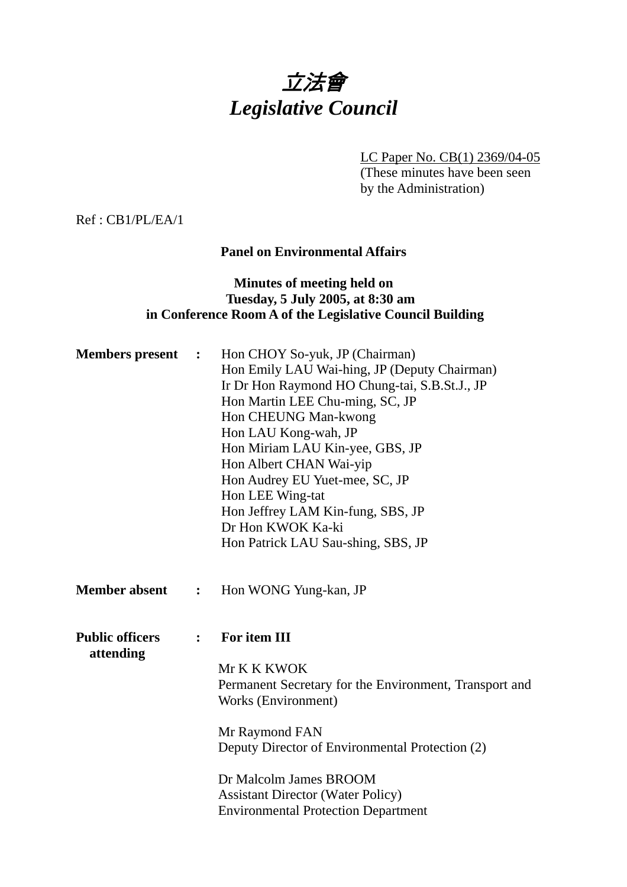# 立法會 *Legislative Council*

LC Paper No. CB(1) 2369/04-05

(These minutes have been seen by the Administration)

Ref : CB1/PL/EA/1

# **Panel on Environmental Affairs**

# **Minutes of meeting held on Tuesday, 5 July 2005, at 8:30 am in Conference Room A of the Legislative Council Building**

| <b>Members</b> present              | $\ddot{\cdot}$   | Hon CHOY So-yuk, JP (Chairman)<br>Hon Emily LAU Wai-hing, JP (Deputy Chairman)<br>Ir Dr Hon Raymond HO Chung-tai, S.B.St.J., JP<br>Hon Martin LEE Chu-ming, SC, JP<br>Hon CHEUNG Man-kwong<br>Hon LAU Kong-wah, JP<br>Hon Miriam LAU Kin-yee, GBS, JP<br>Hon Albert CHAN Wai-yip<br>Hon Audrey EU Yuet-mee, SC, JP<br>Hon LEE Wing-tat<br>Hon Jeffrey LAM Kin-fung, SBS, JP<br>Dr Hon KWOK Ka-ki<br>Hon Patrick LAU Sau-shing, SBS, JP |
|-------------------------------------|------------------|----------------------------------------------------------------------------------------------------------------------------------------------------------------------------------------------------------------------------------------------------------------------------------------------------------------------------------------------------------------------------------------------------------------------------------------|
| <b>Member absent</b>                | $\ddot{\bullet}$ | Hon WONG Yung-kan, JP                                                                                                                                                                                                                                                                                                                                                                                                                  |
| <b>Public officers</b><br>attending | $\ddot{\cdot}$   | For item III<br>Mr K K KWOK<br>Permanent Secretary for the Environment, Transport and<br>Works (Environment)<br>Mr Raymond FAN<br>Deputy Director of Environmental Protection (2)<br>Dr Malcolm James BROOM<br><b>Assistant Director (Water Policy)</b><br><b>Environmental Protection Department</b>                                                                                                                                  |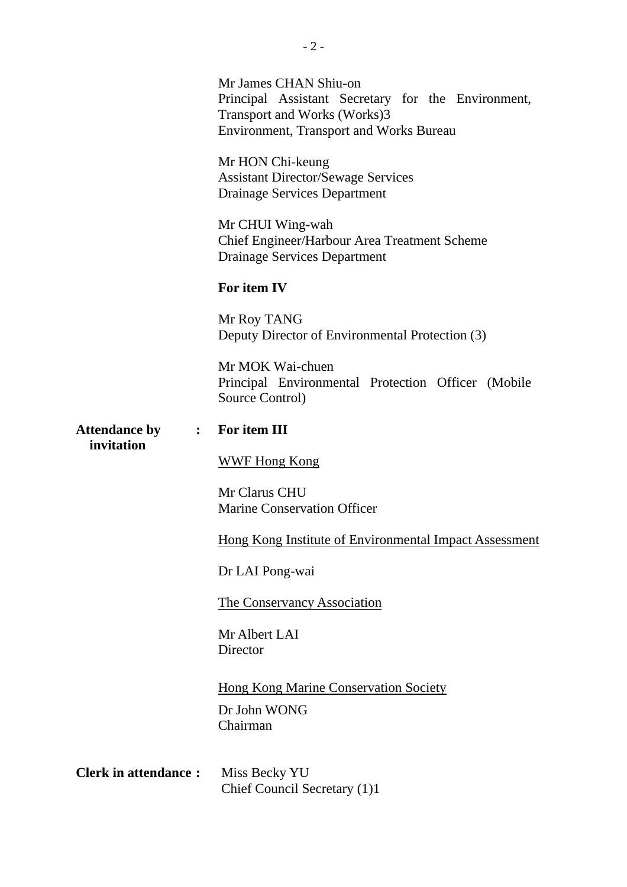|                                                      | Mr James CHAN Shiu-on<br>Principal Assistant Secretary for the Environment,<br>Transport and Works (Works)3<br><b>Environment, Transport and Works Bureau</b> |
|------------------------------------------------------|---------------------------------------------------------------------------------------------------------------------------------------------------------------|
| <b>Attendance by</b><br>$\ddot{\cdot}$<br>invitation | Mr HON Chi-keung<br><b>Assistant Director/Sewage Services</b><br><b>Drainage Services Department</b>                                                          |
|                                                      | Mr CHUI Wing-wah<br>Chief Engineer/Harbour Area Treatment Scheme<br><b>Drainage Services Department</b>                                                       |
|                                                      | For item IV                                                                                                                                                   |
|                                                      | Mr Roy TANG<br>Deputy Director of Environmental Protection (3)                                                                                                |
|                                                      | Mr MOK Wai-chuen<br>Principal Environmental Protection Officer (Mobile<br>Source Control)                                                                     |
|                                                      | For item III                                                                                                                                                  |
|                                                      | <b>WWF Hong Kong</b>                                                                                                                                          |
|                                                      | Mr Clarus CHU<br><b>Marine Conservation Officer</b>                                                                                                           |
|                                                      | Hong Kong Institute of Environmental Impact Assessment                                                                                                        |
|                                                      | Dr LAI Pong-wai                                                                                                                                               |
|                                                      | <b>The Conservancy Association</b>                                                                                                                            |
|                                                      | Mr Albert LAI<br>Director                                                                                                                                     |
|                                                      | <b>Hong Kong Marine Conservation Society</b><br>Dr John WONG<br>Chairman                                                                                      |
| <b>Clerk in attendance:</b>                          | Miss Becky YU<br>Chief Council Secretary (1)1                                                                                                                 |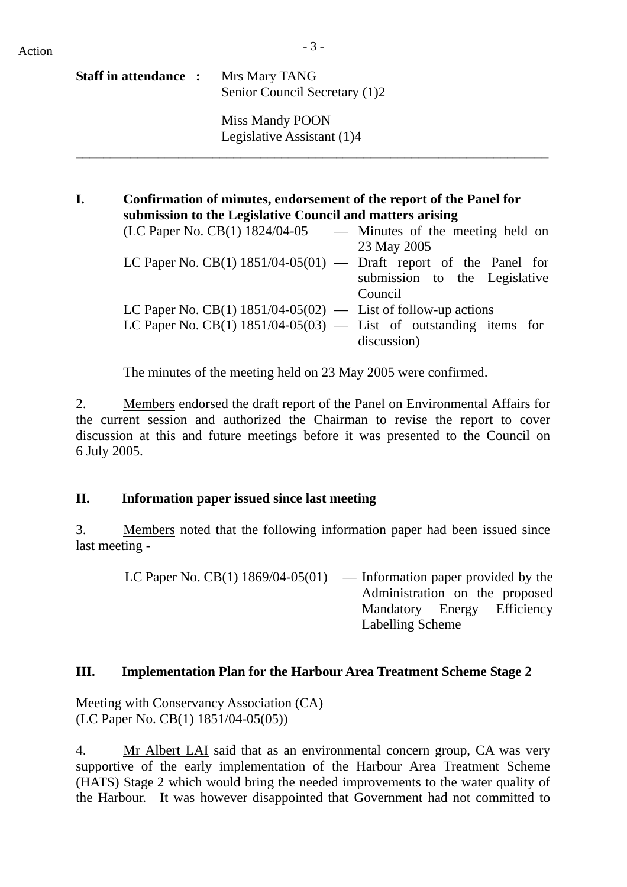| <b>Staff in attendance :</b> | Mrs Mary TANG<br>Senior Council Secretary (1)2 |
|------------------------------|------------------------------------------------|
|                              | Miss Mandy POON<br>Legislative Assistant (1)4  |

| I. | Confirmation of minutes, endorsement of the report of the Panel for<br>submission to the Legislative Council and matters arising |                               |
|----|----------------------------------------------------------------------------------------------------------------------------------|-------------------------------|
|    | $(LC$ Paper No. $CB(1)$ 1824/04-05 - Minutes of the meeting held on                                                              |                               |
|    |                                                                                                                                  | 23 May 2005                   |
|    | LC Paper No. CB(1) $1851/04-05(01)$ — Draft report of the Panel for                                                              |                               |
|    |                                                                                                                                  | submission to the Legislative |
|    |                                                                                                                                  | Council                       |
|    | LC Paper No. CB(1) $1851/04-05(02)$ — List of follow-up actions                                                                  |                               |
|    | LC Paper No. CB(1) $1851/04-05(03)$ — List of outstanding items for                                                              |                               |
|    |                                                                                                                                  | discussion)                   |
|    |                                                                                                                                  |                               |

The minutes of the meeting held on 23 May 2005 were confirmed.

2. Members endorsed the draft report of the Panel on Environmental Affairs for the current session and authorized the Chairman to revise the report to cover discussion at this and future meetings before it was presented to the Council on 6 July 2005.

# **II. Information paper issued since last meeting**

3. Members noted that the following information paper had been issued since last meeting -

| LC Paper No. CB(1) $1869/04-05(01)$ — Information paper provided by the |
|-------------------------------------------------------------------------|
| Administration on the proposed                                          |
| Mandatory Energy Efficiency                                             |
| Labelling Scheme                                                        |

# **III. Implementation Plan for the Harbour Area Treatment Scheme Stage 2**

Meeting with Conservancy Association (CA) (LC Paper No. CB(1) 1851/04-05(05))

4. Mr Albert LAI said that as an environmental concern group, CA was very supportive of the early implementation of the Harbour Area Treatment Scheme (HATS) Stage 2 which would bring the needed improvements to the water quality of the Harbour. It was however disappointed that Government had not committed to

**\_\_\_\_\_\_\_\_\_\_\_\_\_\_\_\_\_\_\_\_\_\_\_\_\_\_\_\_\_\_\_\_\_\_\_\_\_\_\_\_\_\_\_\_\_\_\_\_\_\_\_\_\_\_\_\_\_\_\_\_\_\_\_\_\_\_\_\_\_**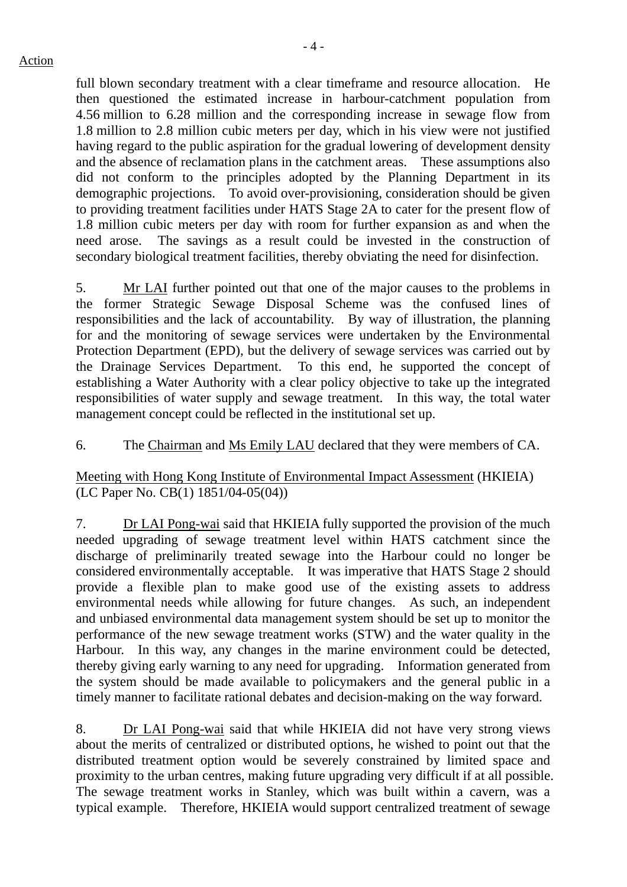full blown secondary treatment with a clear timeframe and resource allocation. He then questioned the estimated increase in harbour-catchment population from 4.56 million to 6.28 million and the corresponding increase in sewage flow from 1.8 million to 2.8 million cubic meters per day, which in his view were not justified having regard to the public aspiration for the gradual lowering of development density and the absence of reclamation plans in the catchment areas. These assumptions also did not conform to the principles adopted by the Planning Department in its demographic projections. To avoid over-provisioning, consideration should be given to providing treatment facilities under HATS Stage 2A to cater for the present flow of 1.8 million cubic meters per day with room for further expansion as and when the need arose. The savings as a result could be invested in the construction of secondary biological treatment facilities, thereby obviating the need for disinfection.

5. Mr LAI further pointed out that one of the major causes to the problems in the former Strategic Sewage Disposal Scheme was the confused lines of responsibilities and the lack of accountability. By way of illustration, the planning for and the monitoring of sewage services were undertaken by the Environmental Protection Department (EPD), but the delivery of sewage services was carried out by the Drainage Services Department. To this end, he supported the concept of establishing a Water Authority with a clear policy objective to take up the integrated responsibilities of water supply and sewage treatment. In this way, the total water management concept could be reflected in the institutional set up.

6. The Chairman and Ms Emily LAU declared that they were members of CA.

Meeting with Hong Kong Institute of Environmental Impact Assessment (HKIEIA) (LC Paper No. CB(1) 1851/04-05(04))

7. Dr LAI Pong-wai said that HKIEIA fully supported the provision of the much needed upgrading of sewage treatment level within HATS catchment since the discharge of preliminarily treated sewage into the Harbour could no longer be considered environmentally acceptable. It was imperative that HATS Stage 2 should provide a flexible plan to make good use of the existing assets to address environmental needs while allowing for future changes. As such, an independent and unbiased environmental data management system should be set up to monitor the performance of the new sewage treatment works (STW) and the water quality in the Harbour. In this way, any changes in the marine environment could be detected, thereby giving early warning to any need for upgrading. Information generated from the system should be made available to policymakers and the general public in a timely manner to facilitate rational debates and decision-making on the way forward.

8. Dr LAI Pong-wai said that while HKIEIA did not have very strong views about the merits of centralized or distributed options, he wished to point out that the distributed treatment option would be severely constrained by limited space and proximity to the urban centres, making future upgrading very difficult if at all possible. The sewage treatment works in Stanley, which was built within a cavern, was a typical example. Therefore, HKIEIA would support centralized treatment of sewage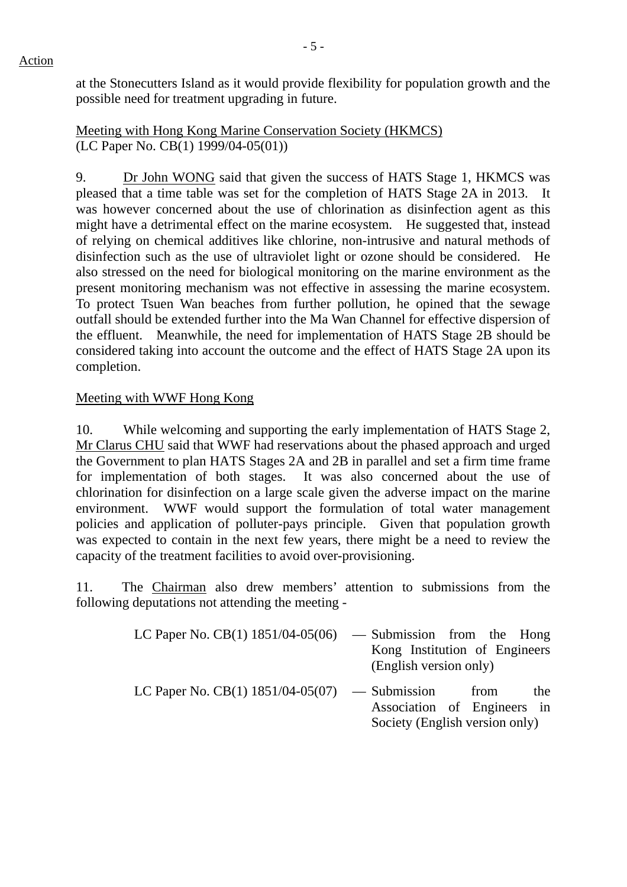at the Stonecutters Island as it would provide flexibility for population growth and the possible need for treatment upgrading in future.

Meeting with Hong Kong Marine Conservation Society (HKMCS) (LC Paper No. CB(1) 1999/04-05(01))

9. Dr John WONG said that given the success of HATS Stage 1, HKMCS was pleased that a time table was set for the completion of HATS Stage 2A in 2013. It was however concerned about the use of chlorination as disinfection agent as this might have a detrimental effect on the marine ecosystem. He suggested that, instead of relying on chemical additives like chlorine, non-intrusive and natural methods of disinfection such as the use of ultraviolet light or ozone should be considered. He also stressed on the need for biological monitoring on the marine environment as the present monitoring mechanism was not effective in assessing the marine ecosystem. To protect Tsuen Wan beaches from further pollution, he opined that the sewage outfall should be extended further into the Ma Wan Channel for effective dispersion of the effluent. Meanwhile, the need for implementation of HATS Stage 2B should be considered taking into account the outcome and the effect of HATS Stage 2A upon its completion.

# Meeting with WWF Hong Kong

10. While welcoming and supporting the early implementation of HATS Stage 2, Mr Clarus CHU said that WWF had reservations about the phased approach and urged the Government to plan HATS Stages 2A and 2B in parallel and set a firm time frame for implementation of both stages. It was also concerned about the use of chlorination for disinfection on a large scale given the adverse impact on the marine environment. WWF would support the formulation of total water management policies and application of polluter-pays principle. Given that population growth was expected to contain in the next few years, there might be a need to review the capacity of the treatment facilities to avoid over-provisioning.

11. The Chairman also drew members' attention to submissions from the following deputations not attending the meeting -

| LC Paper No. CB(1) $1851/04-05(06)$              | - Submission from the Hong                              |
|--------------------------------------------------|---------------------------------------------------------|
|                                                  | Kong Institution of Engineers<br>(English version only) |
| LC Paper No. $CB(1)$ 1851/04-05(07) — Submission | from<br>the<br>Association of Engineers in              |

Society (English version only)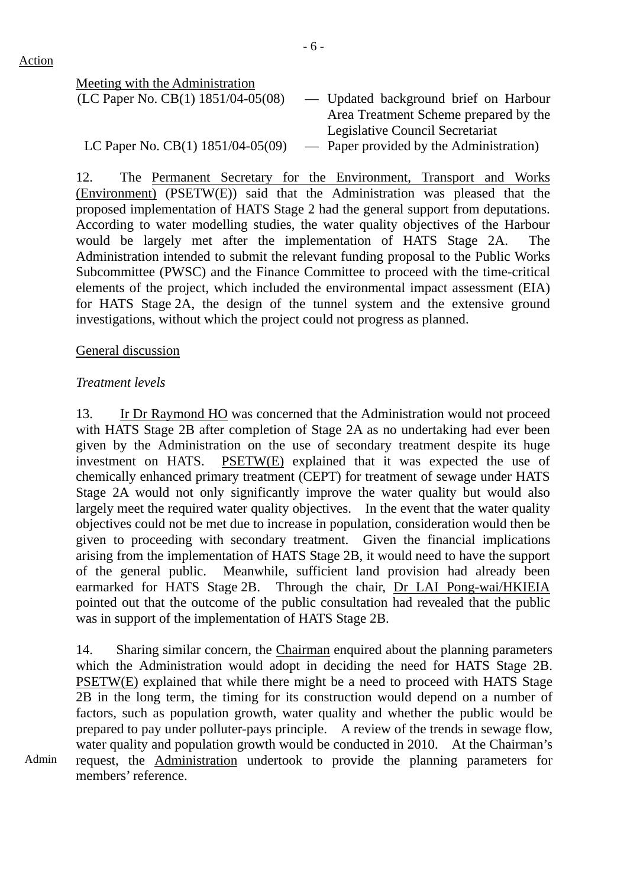Meeting with the Administration

| (LC Paper No. CB(1) 1851/04-05(08)      | — Updated background brief on Harbour   |
|-----------------------------------------|-----------------------------------------|
|                                         | Area Treatment Scheme prepared by the   |
|                                         | Legislative Council Secretariat         |
| LC Paper No. CB $(1)$ 1851/04-05 $(09)$ | - Paper provided by the Administration) |

12. The Permanent Secretary for the Environment, Transport and Works (Environment) (PSETW(E)) said that the Administration was pleased that the proposed implementation of HATS Stage 2 had the general support from deputations. According to water modelling studies, the water quality objectives of the Harbour would be largely met after the implementation of HATS Stage 2A. The Administration intended to submit the relevant funding proposal to the Public Works Subcommittee (PWSC) and the Finance Committee to proceed with the time-critical elements of the project, which included the environmental impact assessment (EIA) for HATS Stage 2A, the design of the tunnel system and the extensive ground investigations, without which the project could not progress as planned.

## General discussion

## *Treatment levels*

13. Ir Dr Raymond HO was concerned that the Administration would not proceed with HATS Stage 2B after completion of Stage 2A as no undertaking had ever been given by the Administration on the use of secondary treatment despite its huge investment on HATS. PSETW(E) explained that it was expected the use of chemically enhanced primary treatment (CEPT) for treatment of sewage under HATS Stage 2A would not only significantly improve the water quality but would also largely meet the required water quality objectives. In the event that the water quality objectives could not be met due to increase in population, consideration would then be given to proceeding with secondary treatment. Given the financial implications arising from the implementation of HATS Stage 2B, it would need to have the support of the general public. Meanwhile, sufficient land provision had already been earmarked for HATS Stage 2B. Through the chair, Dr LAI Pong-wai/HKIEIA pointed out that the outcome of the public consultation had revealed that the public was in support of the implementation of HATS Stage 2B.

14. Sharing similar concern, the Chairman enquired about the planning parameters which the Administration would adopt in deciding the need for HATS Stage 2B. PSETW(E) explained that while there might be a need to proceed with HATS Stage 2B in the long term, the timing for its construction would depend on a number of factors, such as population growth, water quality and whether the public would be prepared to pay under polluter-pays principle. A review of the trends in sewage flow, water quality and population growth would be conducted in 2010. At the Chairman's request, the Administration undertook to provide the planning parameters for members' reference.

Admin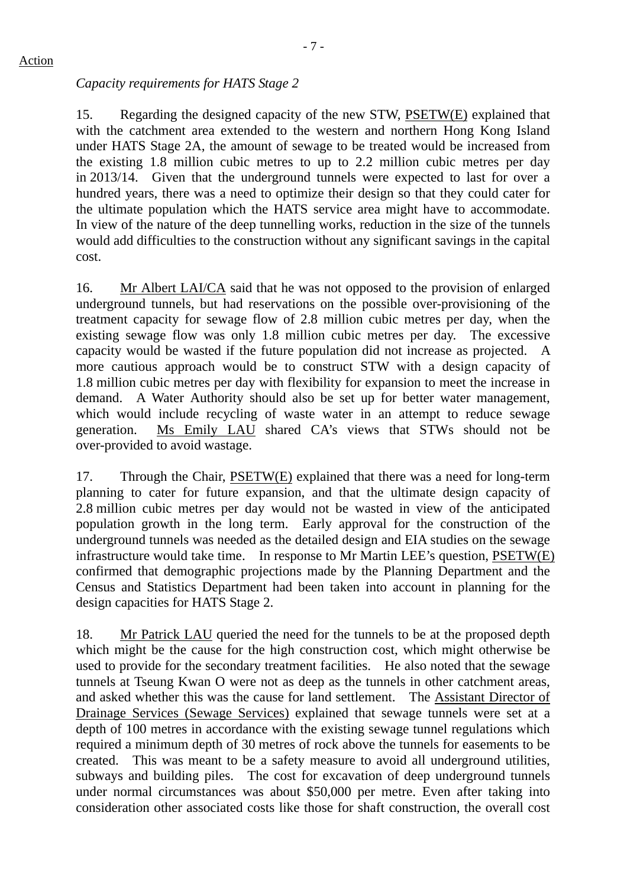# *Capacity requirements for HATS Stage 2*

15. Regarding the designed capacity of the new STW, PSETW(E) explained that with the catchment area extended to the western and northern Hong Kong Island under HATS Stage 2A, the amount of sewage to be treated would be increased from the existing 1.8 million cubic metres to up to 2.2 million cubic metres per day in 2013/14. Given that the underground tunnels were expected to last for over a hundred years, there was a need to optimize their design so that they could cater for the ultimate population which the HATS service area might have to accommodate. In view of the nature of the deep tunnelling works, reduction in the size of the tunnels would add difficulties to the construction without any significant savings in the capital cost.

16. Mr Albert LAI/CA said that he was not opposed to the provision of enlarged underground tunnels, but had reservations on the possible over-provisioning of the treatment capacity for sewage flow of 2.8 million cubic metres per day, when the existing sewage flow was only 1.8 million cubic metres per day. The excessive capacity would be wasted if the future population did not increase as projected. A more cautious approach would be to construct STW with a design capacity of 1.8 million cubic metres per day with flexibility for expansion to meet the increase in demand. A Water Authority should also be set up for better water management, which would include recycling of waste water in an attempt to reduce sewage generation. Ms Emily LAU shared CA's views that STWs should not be over-provided to avoid wastage.

17. Through the Chair, PSETW(E) explained that there was a need for long-term planning to cater for future expansion, and that the ultimate design capacity of 2.8 million cubic metres per day would not be wasted in view of the anticipated population growth in the long term. Early approval for the construction of the underground tunnels was needed as the detailed design and EIA studies on the sewage infrastructure would take time. In response to Mr Martin LEE's question, PSETW(E) confirmed that demographic projections made by the Planning Department and the Census and Statistics Department had been taken into account in planning for the design capacities for HATS Stage 2.

18. Mr Patrick LAU queried the need for the tunnels to be at the proposed depth which might be the cause for the high construction cost, which might otherwise be used to provide for the secondary treatment facilities. He also noted that the sewage tunnels at Tseung Kwan O were not as deep as the tunnels in other catchment areas, and asked whether this was the cause for land settlement. The Assistant Director of Drainage Services (Sewage Services) explained that sewage tunnels were set at a depth of 100 metres in accordance with the existing sewage tunnel regulations which required a minimum depth of 30 metres of rock above the tunnels for easements to be created. This was meant to be a safety measure to avoid all underground utilities, subways and building piles. The cost for excavation of deep underground tunnels under normal circumstances was about \$50,000 per metre. Even after taking into consideration other associated costs like those for shaft construction, the overall cost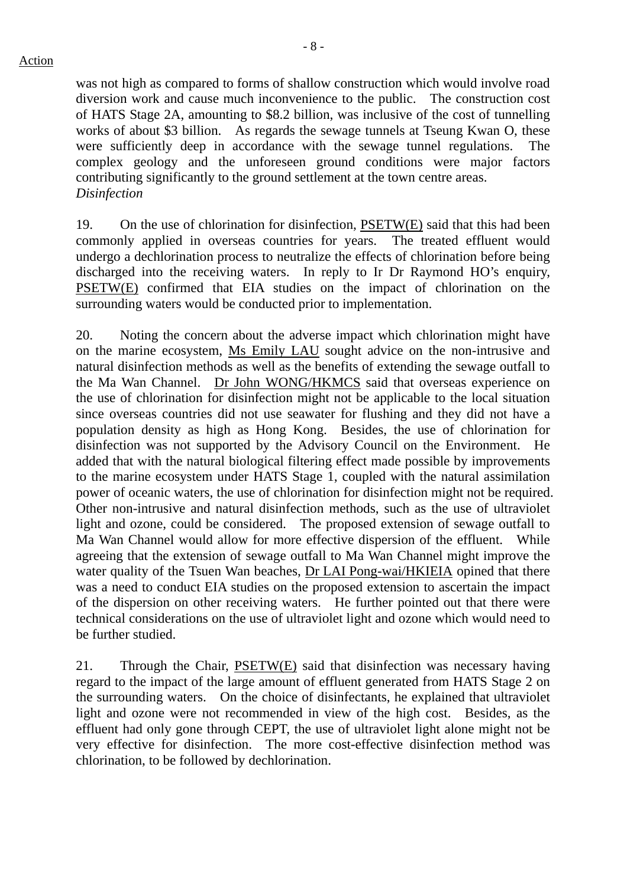was not high as compared to forms of shallow construction which would involve road diversion work and cause much inconvenience to the public. The construction cost of HATS Stage 2A, amounting to \$8.2 billion, was inclusive of the cost of tunnelling works of about \$3 billion. As regards the sewage tunnels at Tseung Kwan O, these were sufficiently deep in accordance with the sewage tunnel regulations. The complex geology and the unforeseen ground conditions were major factors contributing significantly to the ground settlement at the town centre areas. *Disinfection* 

19. On the use of chlorination for disinfection, PSETW(E) said that this had been commonly applied in overseas countries for years. The treated effluent would undergo a dechlorination process to neutralize the effects of chlorination before being discharged into the receiving waters. In reply to Ir Dr Raymond HO's enquiry, PSETW(E) confirmed that EIA studies on the impact of chlorination on the surrounding waters would be conducted prior to implementation.

20. Noting the concern about the adverse impact which chlorination might have on the marine ecosystem, Ms Emily LAU sought advice on the non-intrusive and natural disinfection methods as well as the benefits of extending the sewage outfall to the Ma Wan Channel. Dr John WONG/HKMCS said that overseas experience on the use of chlorination for disinfection might not be applicable to the local situation since overseas countries did not use seawater for flushing and they did not have a population density as high as Hong Kong. Besides, the use of chlorination for disinfection was not supported by the Advisory Council on the Environment. He added that with the natural biological filtering effect made possible by improvements to the marine ecosystem under HATS Stage 1, coupled with the natural assimilation power of oceanic waters, the use of chlorination for disinfection might not be required. Other non-intrusive and natural disinfection methods, such as the use of ultraviolet light and ozone, could be considered. The proposed extension of sewage outfall to Ma Wan Channel would allow for more effective dispersion of the effluent. While agreeing that the extension of sewage outfall to Ma Wan Channel might improve the water quality of the Tsuen Wan beaches, Dr LAI Pong-wai/HKIEIA opined that there was a need to conduct EIA studies on the proposed extension to ascertain the impact of the dispersion on other receiving waters. He further pointed out that there were technical considerations on the use of ultraviolet light and ozone which would need to be further studied.

21. Through the Chair, PSETW(E) said that disinfection was necessary having regard to the impact of the large amount of effluent generated from HATS Stage 2 on the surrounding waters. On the choice of disinfectants, he explained that ultraviolet light and ozone were not recommended in view of the high cost. Besides, as the effluent had only gone through CEPT, the use of ultraviolet light alone might not be very effective for disinfection. The more cost-effective disinfection method was chlorination, to be followed by dechlorination.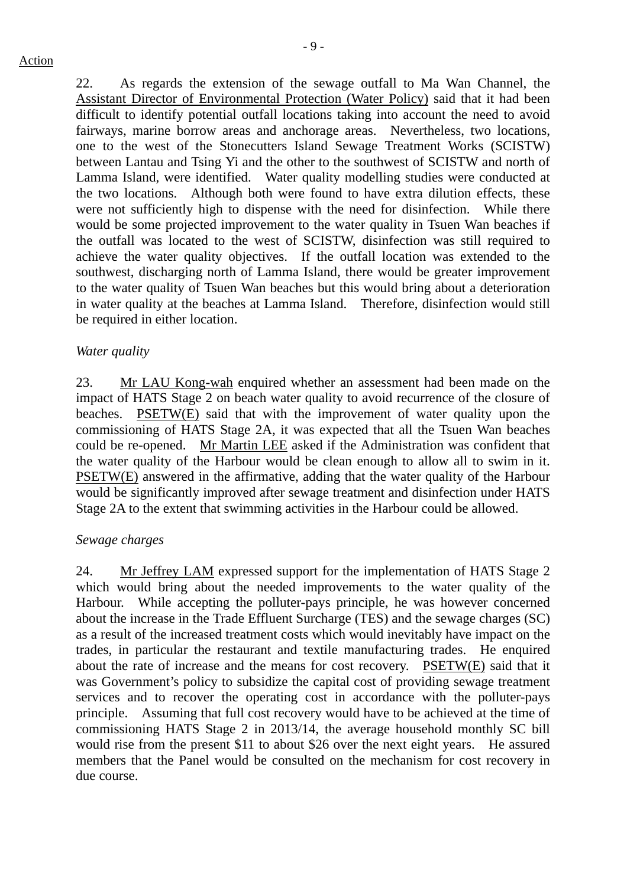22. As regards the extension of the sewage outfall to Ma Wan Channel, the Assistant Director of Environmental Protection (Water Policy) said that it had been difficult to identify potential outfall locations taking into account the need to avoid fairways, marine borrow areas and anchorage areas. Nevertheless, two locations, one to the west of the Stonecutters Island Sewage Treatment Works (SCISTW) between Lantau and Tsing Yi and the other to the southwest of SCISTW and north of Lamma Island, were identified. Water quality modelling studies were conducted at the two locations. Although both were found to have extra dilution effects, these were not sufficiently high to dispense with the need for disinfection. While there would be some projected improvement to the water quality in Tsuen Wan beaches if the outfall was located to the west of SCISTW, disinfection was still required to achieve the water quality objectives. If the outfall location was extended to the southwest, discharging north of Lamma Island, there would be greater improvement to the water quality of Tsuen Wan beaches but this would bring about a deterioration in water quality at the beaches at Lamma Island. Therefore, disinfection would still be required in either location.

#### *Water quality*

23. Mr LAU Kong-wah enquired whether an assessment had been made on the impact of HATS Stage 2 on beach water quality to avoid recurrence of the closure of beaches. PSETW(E) said that with the improvement of water quality upon the commissioning of HATS Stage 2A, it was expected that all the Tsuen Wan beaches could be re-opened. Mr Martin LEE asked if the Administration was confident that the water quality of the Harbour would be clean enough to allow all to swim in it. PSETW(E) answered in the affirmative, adding that the water quality of the Harbour would be significantly improved after sewage treatment and disinfection under HATS Stage 2A to the extent that swimming activities in the Harbour could be allowed.

#### *Sewage charges*

24. Mr Jeffrey LAM expressed support for the implementation of HATS Stage 2 which would bring about the needed improvements to the water quality of the Harbour. While accepting the polluter-pays principle, he was however concerned about the increase in the Trade Effluent Surcharge (TES) and the sewage charges (SC) as a result of the increased treatment costs which would inevitably have impact on the trades, in particular the restaurant and textile manufacturing trades. He enquired about the rate of increase and the means for cost recovery. PSETW(E) said that it was Government's policy to subsidize the capital cost of providing sewage treatment services and to recover the operating cost in accordance with the polluter-pays principle. Assuming that full cost recovery would have to be achieved at the time of commissioning HATS Stage 2 in 2013/14, the average household monthly SC bill would rise from the present \$11 to about \$26 over the next eight years. He assured members that the Panel would be consulted on the mechanism for cost recovery in due course.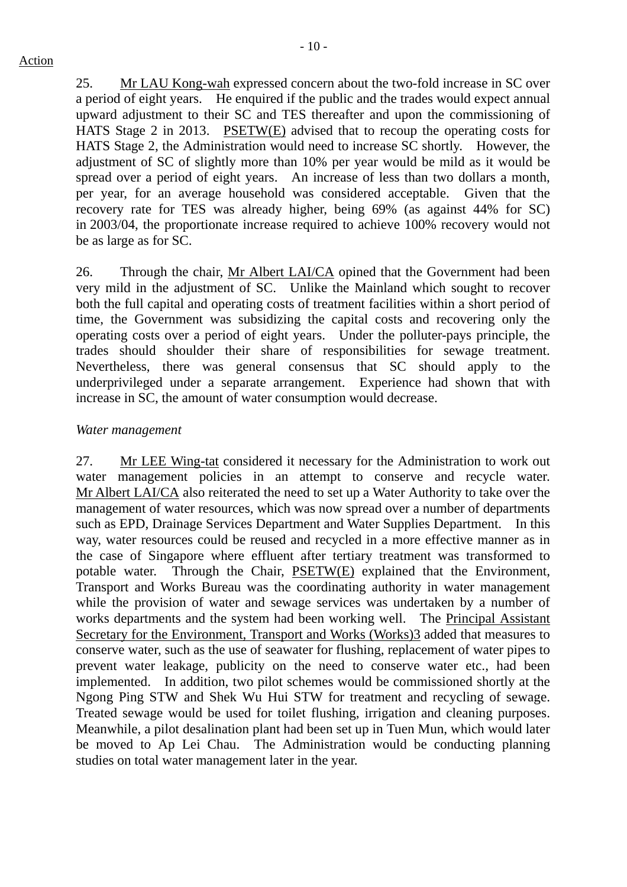25. Mr LAU Kong-wah expressed concern about the two-fold increase in SC over a period of eight years. He enquired if the public and the trades would expect annual upward adjustment to their SC and TES thereafter and upon the commissioning of HATS Stage 2 in 2013. PSETW(E) advised that to recoup the operating costs for HATS Stage 2, the Administration would need to increase SC shortly. However, the adjustment of SC of slightly more than 10% per year would be mild as it would be spread over a period of eight years. An increase of less than two dollars a month, per year, for an average household was considered acceptable. Given that the recovery rate for TES was already higher, being 69% (as against 44% for SC) in 2003/04, the proportionate increase required to achieve 100% recovery would not be as large as for SC.

26. Through the chair, Mr Albert LAI/CA opined that the Government had been very mild in the adjustment of SC. Unlike the Mainland which sought to recover both the full capital and operating costs of treatment facilities within a short period of time, the Government was subsidizing the capital costs and recovering only the operating costs over a period of eight years. Under the polluter-pays principle, the trades should shoulder their share of responsibilities for sewage treatment. Nevertheless, there was general consensus that SC should apply to the underprivileged under a separate arrangement. Experience had shown that with increase in SC, the amount of water consumption would decrease.

#### *Water management*

27. Mr LEE Wing-tat considered it necessary for the Administration to work out water management policies in an attempt to conserve and recycle water. Mr Albert LAI/CA also reiterated the need to set up a Water Authority to take over the management of water resources, which was now spread over a number of departments such as EPD, Drainage Services Department and Water Supplies Department. In this way, water resources could be reused and recycled in a more effective manner as in the case of Singapore where effluent after tertiary treatment was transformed to potable water. Through the Chair, PSETW(E) explained that the Environment, Transport and Works Bureau was the coordinating authority in water management while the provision of water and sewage services was undertaken by a number of works departments and the system had been working well. The Principal Assistant Secretary for the Environment, Transport and Works (Works)3 added that measures to conserve water, such as the use of seawater for flushing, replacement of water pipes to prevent water leakage, publicity on the need to conserve water etc., had been implemented. In addition, two pilot schemes would be commissioned shortly at the Ngong Ping STW and Shek Wu Hui STW for treatment and recycling of sewage. Treated sewage would be used for toilet flushing, irrigation and cleaning purposes. Meanwhile, a pilot desalination plant had been set up in Tuen Mun, which would later be moved to Ap Lei Chau. The Administration would be conducting planning studies on total water management later in the year.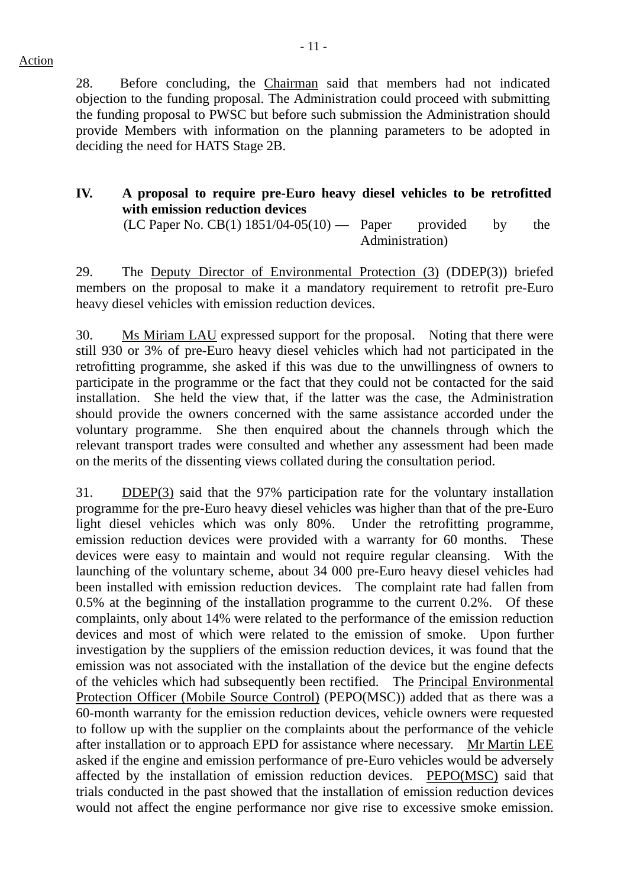28. Before concluding, the Chairman said that members had not indicated objection to the funding proposal. The Administration could proceed with submitting the funding proposal to PWSC but before such submission the Administration should provide Members with information on the planning parameters to be adopted in deciding the need for HATS Stage 2B.

# **IV. A proposal to require pre-Euro heavy diesel vehicles to be retrofitted with emission reduction devices**

 $(LC$  Paper No.  $CB(1)$  1851/04-05(10) — Paper provided by the Administration)

29. The Deputy Director of Environmental Protection (3) (DDEP(3)) briefed members on the proposal to make it a mandatory requirement to retrofit pre-Euro heavy diesel vehicles with emission reduction devices.

30. Ms Miriam LAU expressed support for the proposal. Noting that there were still 930 or 3% of pre-Euro heavy diesel vehicles which had not participated in the retrofitting programme, she asked if this was due to the unwillingness of owners to participate in the programme or the fact that they could not be contacted for the said installation. She held the view that, if the latter was the case, the Administration should provide the owners concerned with the same assistance accorded under the voluntary programme. She then enquired about the channels through which the relevant transport trades were consulted and whether any assessment had been made on the merits of the dissenting views collated during the consultation period.

31. DDEP(3) said that the 97% participation rate for the voluntary installation programme for the pre-Euro heavy diesel vehicles was higher than that of the pre-Euro light diesel vehicles which was only 80%. Under the retrofitting programme, emission reduction devices were provided with a warranty for 60 months. These devices were easy to maintain and would not require regular cleansing. With the launching of the voluntary scheme, about 34 000 pre-Euro heavy diesel vehicles had been installed with emission reduction devices. The complaint rate had fallen from 0.5% at the beginning of the installation programme to the current 0.2%. Of these complaints, only about 14% were related to the performance of the emission reduction devices and most of which were related to the emission of smoke. Upon further investigation by the suppliers of the emission reduction devices, it was found that the emission was not associated with the installation of the device but the engine defects of the vehicles which had subsequently been rectified. The Principal Environmental Protection Officer (Mobile Source Control) (PEPO(MSC)) added that as there was a 60-month warranty for the emission reduction devices, vehicle owners were requested to follow up with the supplier on the complaints about the performance of the vehicle after installation or to approach EPD for assistance where necessary. Mr Martin LEE asked if the engine and emission performance of pre-Euro vehicles would be adversely affected by the installation of emission reduction devices. PEPO(MSC) said that trials conducted in the past showed that the installation of emission reduction devices would not affect the engine performance nor give rise to excessive smoke emission.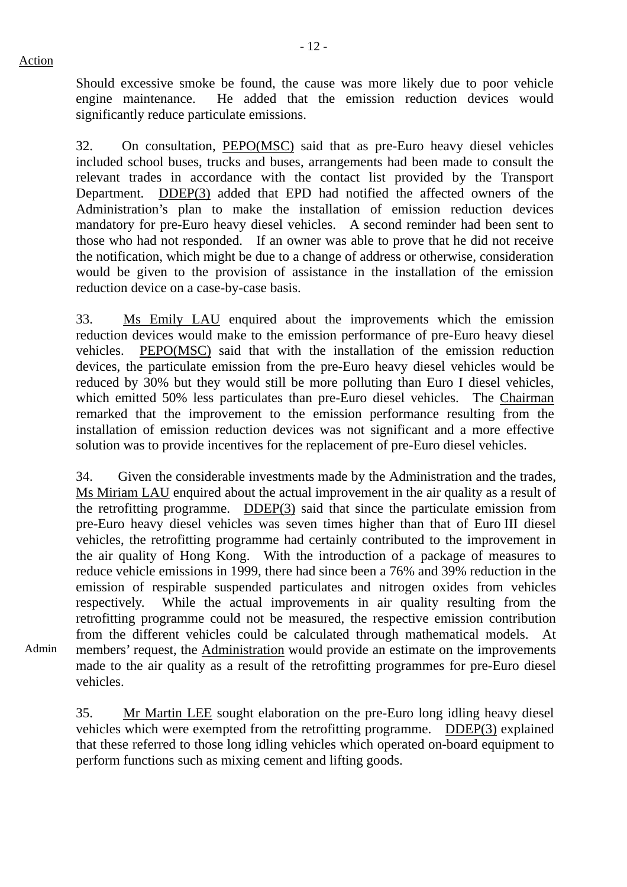Admin

Should excessive smoke be found, the cause was more likely due to poor vehicle engine maintenance. He added that the emission reduction devices would significantly reduce particulate emissions.

32. On consultation, PEPO(MSC) said that as pre-Euro heavy diesel vehicles included school buses, trucks and buses, arrangements had been made to consult the relevant trades in accordance with the contact list provided by the Transport Department. DDEP(3) added that EPD had notified the affected owners of the Administration's plan to make the installation of emission reduction devices mandatory for pre-Euro heavy diesel vehicles. A second reminder had been sent to those who had not responded. If an owner was able to prove that he did not receive the notification, which might be due to a change of address or otherwise, consideration would be given to the provision of assistance in the installation of the emission reduction device on a case-by-case basis.

33. Ms Emily LAU enquired about the improvements which the emission reduction devices would make to the emission performance of pre-Euro heavy diesel vehicles. PEPO(MSC) said that with the installation of the emission reduction devices, the particulate emission from the pre-Euro heavy diesel vehicles would be reduced by 30% but they would still be more polluting than Euro I diesel vehicles, which emitted 50% less particulates than pre-Euro diesel vehicles. The Chairman remarked that the improvement to the emission performance resulting from the installation of emission reduction devices was not significant and a more effective solution was to provide incentives for the replacement of pre-Euro diesel vehicles.

34. Given the considerable investments made by the Administration and the trades, Ms Miriam LAU enquired about the actual improvement in the air quality as a result of the retrofitting programme. DDEP(3) said that since the particulate emission from pre-Euro heavy diesel vehicles was seven times higher than that of Euro III diesel vehicles, the retrofitting programme had certainly contributed to the improvement in the air quality of Hong Kong. With the introduction of a package of measures to reduce vehicle emissions in 1999, there had since been a 76% and 39% reduction in the emission of respirable suspended particulates and nitrogen oxides from vehicles respectively. While the actual improvements in air quality resulting from the retrofitting programme could not be measured, the respective emission contribution from the different vehicles could be calculated through mathematical models. At members' request, the Administration would provide an estimate on the improvements made to the air quality as a result of the retrofitting programmes for pre-Euro diesel vehicles.

35. Mr Martin LEE sought elaboration on the pre-Euro long idling heavy diesel vehicles which were exempted from the retrofitting programme. DDEP(3) explained that these referred to those long idling vehicles which operated on-board equipment to perform functions such as mixing cement and lifting goods.